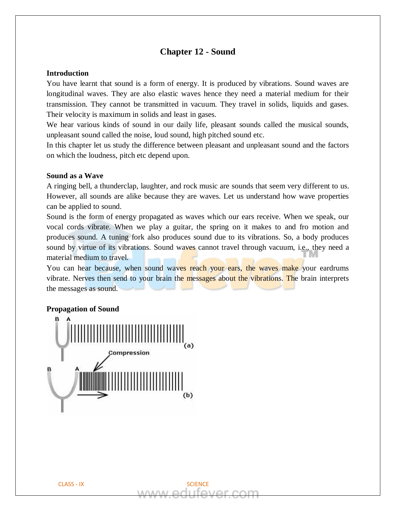# **Chapter 12 - Sound**

#### **Introduction**

You have learnt that sound is a form of energy. It is produced by vibrations. Sound waves are longitudinal waves. They are also elastic waves hence they need a material medium for their transmission. They cannot be transmitted in vacuum. They travel in solids, liquids and gases. Their velocity is maximum in solids and least in gases.

We hear various kinds of sound in our daily life, pleasant sounds called the musical sounds, unpleasant sound called the noise, loud sound, high pitched sound etc.

In this chapter let us study the difference between pleasant and unpleasant sound and the factors on which the loudness, pitch etc depend upon.

#### **Sound as a Wave**

A ringing bell, a thunderclap, laughter, and rock music are sounds that seem very different to us. However, all sounds are alike because they are waves. Let us understand how wave properties can be applied to sound.

Sound is the form of energy propagated as waves which our ears receive. When we speak, our vocal cords vibrate. When we play a guitar, the spring on it makes to and fro motion and produces sound. A tuning fork also produces sound due to its vibrations. So, a body produces sound by virtue of its vibrations. Sound waves cannot travel through vacuum, i.e., they need a material medium to travel.

You can hear because, when sound waves reach your ears, the waves make your eardrums vibrate. Nerves then send to your brain the messages about the vibrations. The brain interprets the messages as sound.

#### **Propagation of Sound**

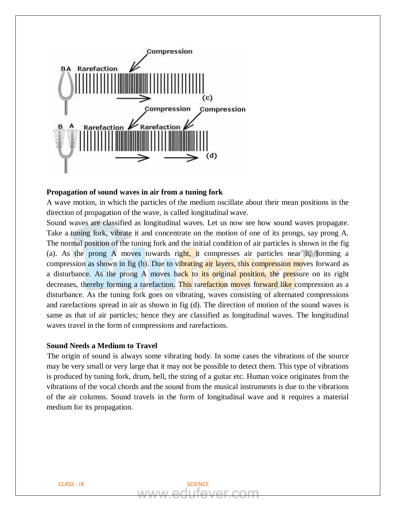

#### **Propagation of sound waves in air from a tuning fork**

A wave motion, in which the particles of the medium oscillate about their mean positions in the direction of propagation of the wave, is called longitudinal wave.

Sound waves are classified as longitudinal waves. Let us now see how sound waves propagate. Take a tuning fork, vibrate it and concentrate on the motion of one of its prongs, say prong A. The normal position of the tuning fork and the initial condition of air particles is shown in the fig (a). As the prong A moves towards right, it compresses air particles near it, forming a compression as shown in fig (b). Due to vibrating air layers, this compression moves forward as a disturbance. As the prong A moves back to its original position, the pressure on its right decreases, thereby forming a rarefaction. This rarefaction moves forward like compression as a disturbance. As the tuning fork goes on vibrating, waves consisting of alternated compressions and rarefactions spread in air as shown in fig (d). The direction of motion of the sound waves is same as that of air particles; hence they are classified as longitudinal waves. The longitudinal waves travel in the form of compressions and rarefactions.

# **Sound Needs a Medium to Travel**

The origin of sound is always some vibrating body. In some cases the vibrations of the source may be very small or very large that it may not be possible to detect them. This type of vibrations is produced by tuning fork, drum, bell, the string of a guitar etc. Human voice originates from the vibrations of the vocal chords and the sound from the musical instruments is due to the vibrations of the air columns. Sound travels in the form of longitudinal wave and it requires a material medium for its propagation.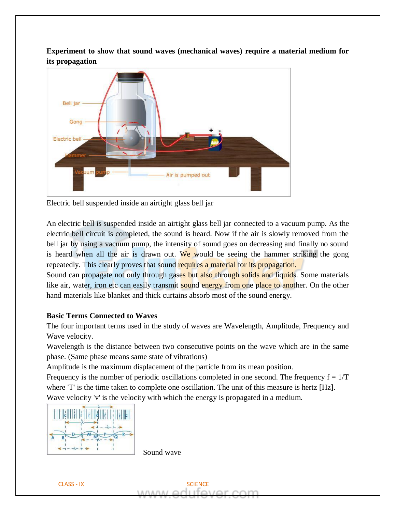**Experiment to show that sound waves (mechanical waves) require a material medium for its propagation** 



Electric bell suspended inside an airtight glass bell jar

An electric bell is suspended inside an airtight glass bell jar connected to a vacuum pump. As the electric bell circuit is completed, the sound is heard. Now if the air is slowly removed from the bell jar by using a vacuum pump, the intensity of sound goes on decreasing and finally no sound is heard when all the air is drawn out. We would be seeing the hammer striking the gong repeatedly. This clearly proves that sound requires a material for its propagation.

Sound can propagate not only through gases but also through solids and liquids. Some materials like air, water, iron etc can easily transmit sound energy from one place to another. On the other hand materials like blanket and thick curtains absorb most of the sound energy.

# **Basic Terms Connected to Waves**

The four important terms used in the study of waves are Wavelength, Amplitude, Frequency and Wave velocity.

Wavelength is the distance between two consecutive points on the wave which are in the same phase. (Same phase means same state of vibrations)

Amplitude is the maximum displacement of the particle from its mean position.

Frequency is the number of periodic oscillations completed in one second. The frequency  $f = 1/T$ where 'T' is the time taken to complete one oscillation. The unit of this measure is hertz [Hz]. Wave velocity 'v' is the velocity with which the energy is propagated in a medium.



Sound wave

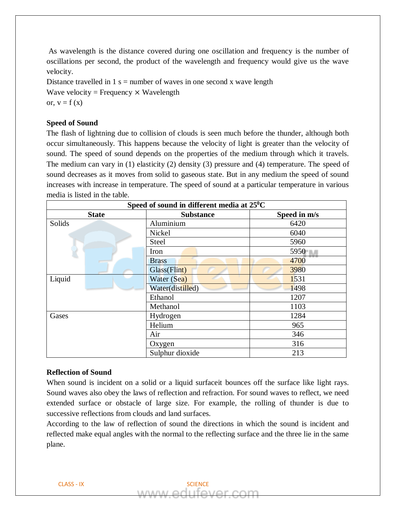As wavelength is the distance covered during one oscillation and frequency is the number of oscillations per second, the product of the wavelength and frequency would give us the wave velocity.

Distance travelled in  $1 s =$  number of waves in one second x wave length Wave velocity = Frequency  $\times$  Wavelength or,  $v = f(x)$ 

# **Speed of Sound**

The flash of lightning due to collision of clouds is seen much before the thunder, although both occur simultaneously. This happens because the velocity of light is greater than the velocity of sound. The speed of sound depends on the properties of the medium through which it travels. The medium can vary in (1) elasticity (2) density (3) pressure and (4) temperature. The speed of sound decreases as it moves from solid to gaseous state. But in any medium the speed of sound increases with increase in temperature. The speed of sound at a particular temperature in various media is listed in the table.

| Speed of sound in different media at $25^0C$ |                  |              |
|----------------------------------------------|------------------|--------------|
| <b>State</b>                                 | <b>Substance</b> | Speed in m/s |
| Solids                                       | Aluminium        | 6420         |
|                                              | Nickel           | 6040         |
|                                              | <b>Steel</b>     | 5960         |
|                                              | Iron             | 5950         |
|                                              | <b>Brass</b>     | 4700         |
|                                              | Glass(Flint)     | 3980         |
| Liquid                                       | Water (Sea)      | 1531         |
|                                              | Water(distilled) | 1498         |
|                                              | Ethanol          | 1207         |
|                                              | Methanol         | 1103         |
| Gases                                        | Hydrogen         | 1284         |
|                                              | Helium           | 965          |
|                                              | Air              | 346          |
|                                              | Oxygen           | 316          |
|                                              | Sulphur dioxide  | 213          |

## **Reflection of Sound**

When sound is incident on a solid or a liquid surfaceit bounces off the surface like light rays. Sound waves also obey the laws of reflection and refraction. For sound waves to reflect, we need extended surface or obstacle of large size. For example, the rolling of thunder is due to successive reflections from clouds and land surfaces.

According to the law of reflection of sound the directions in which the sound is incident and reflected make equal angles with the normal to the reflecting surface and the three lie in the same plane.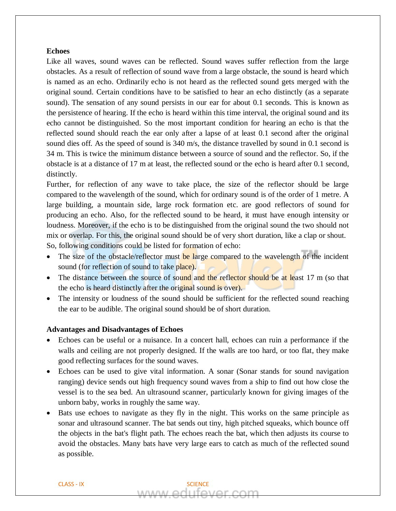#### **Echoes**

Like all waves, sound waves can be reflected. Sound waves suffer reflection from the large obstacles. As a result of reflection of sound wave from a large obstacle, the sound is heard which is named as an echo. Ordinarily echo is not heard as the reflected sound gets merged with the original sound. Certain conditions have to be satisfied to hear an echo distinctly (as a separate sound). The sensation of any sound persists in our ear for about 0.1 seconds. This is known as the persistence of hearing. If the echo is heard within this time interval, the original sound and its echo cannot be distinguished. So the most important condition for hearing an echo is that the reflected sound should reach the ear only after a lapse of at least 0.1 second after the original sound dies off. As the speed of sound is 340 m/s, the distance travelled by sound in 0.1 second is 34 m. This is twice the minimum distance between a source of sound and the reflector. So, if the obstacle is at a distance of 17 m at least, the reflected sound or the echo is heard after 0.1 second, distinctly.

Further, for reflection of any wave to take place, the size of the reflector should be large compared to the wavelength of the sound, which for ordinary sound is of the order of 1 metre. A large building, a mountain side, large rock formation etc. are good reflectors of sound for producing an echo. Also, for the reflected sound to be heard, it must have enough intensity or loudness. Moreover, if the echo is to be distinguished from the original sound the two should not mix or overlap. For this, the original sound should be of very short duration, like a clap or shout. So, following conditions could be listed for formation of echo:

- The size of the obstacle/reflector must be large compared to the wavelength of the incident sound (for reflection of sound to take place).
- The distance between the source of sound and the reflector should be at least 17 m (so that the echo is heard distinctly after the original sound is over).
- The intensity or loudness of the sound should be sufficient for the reflected sound reaching the ear to be audible. The original sound should be of short duration.

#### **Advantages and Disadvantages of Echoes**

- Echoes can be useful or a nuisance. In a concert hall, echoes can ruin a performance if the walls and ceiling are not properly designed. If the walls are too hard, or too flat, they make good reflecting surfaces for the sound waves.
- Echoes can be used to give vital information. A sonar (Sonar stands for sound navigation ranging) device sends out high frequency sound waves from a ship to find out how close the vessel is to the sea bed. An ultrasound scanner, particularly known for giving images of the unborn baby, works in roughly the same way.
- Bats use echoes to navigate as they fly in the night. This works on the same principle as sonar and ultrasound scanner. The bat sends out tiny, high pitched squeaks, which bounce off the objects in the bat's flight path. The echoes reach the bat, which then adjusts its course to avoid the obstacles. Many bats have very large ears to catch as much of the reflected sound as possible.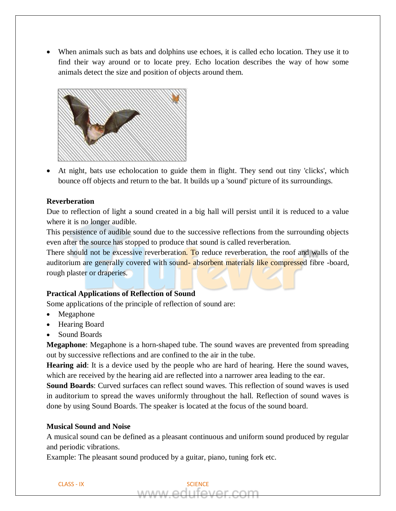• When animals such as bats and dolphins use echoes, it is called echo location. They use it to find their way around or to locate prey. Echo location describes the way of how some animals detect the size and position of objects around them.



• At night, bats use echolocation to guide them in flight. They send out tiny 'clicks', which bounce off objects and return to the bat. It builds up a 'sound' picture of its surroundings.

## **Reverberation**

Due to reflection of light a sound created in a big hall will persist until it is reduced to a value where it is no longer audible.

This persistence of audible sound due to the successive reflections from the surrounding objects even after the source has stopped to produce that sound is called reverberation.

There should not be excessive reverberation. To reduce reverberation, the roof and walls of the auditorium are generally covered with sound- absorbent materials like compressed fibre -board, rough plaster or draperies.

#### **Practical Applications of Reflection of Sound**

Some applications of the principle of reflection of sound are:

- Megaphone
- Hearing Board
- Sound Boards

**Megaphone**: Megaphone is a horn-shaped tube. The sound waves are prevented from spreading out by successive reflections and are confined to the air in the tube.

**Hearing aid**: It is a device used by the people who are hard of hearing. Here the sound waves, which are received by the hearing aid are reflected into a narrower area leading to the ear.

**Sound Boards**: Curved surfaces can reflect sound waves. This reflection of sound waves is used in auditorium to spread the waves uniformly throughout the hall. Reflection of sound waves is done by using Sound Boards. The speaker is located at the focus of the sound board.

## **Musical Sound and Noise**

A musical sound can be defined as a pleasant continuous and uniform sound produced by regular and periodic vibrations.

Example: The pleasant sound produced by a guitar, piano, tuning fork etc.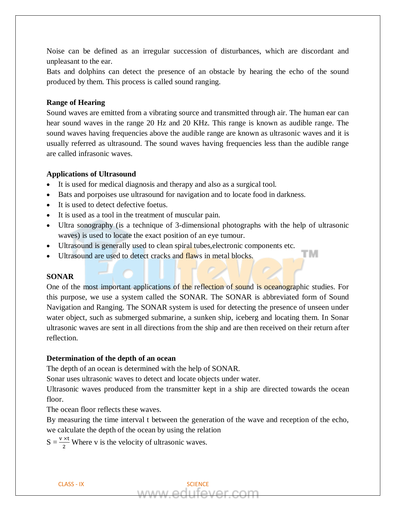Noise can be defined as an irregular succession of disturbances, which are discordant and unpleasant to the ear.

Bats and dolphins can detect the presence of an obstacle by hearing the echo of the sound produced by them. This process is called sound ranging.

## **Range of Hearing**

Sound waves are emitted from a vibrating source and transmitted through air. The human ear can hear sound waves in the range 20 Hz and 20 KHz. This range is known as audible range. The sound waves having frequencies above the audible range are known as ultrasonic waves and it is usually referred as ultrasound. The sound waves having frequencies less than the audible range are called infrasonic waves.

#### **Applications of Ultrasound**

- It is used for medical diagnosis and therapy and also as a surgical tool.
- Bats and porpoises use ultrasound for navigation and to locate food in darkness.
- It is used to detect defective foetus.
- It is used as a tool in the treatment of muscular pain.
- Ultra sonography (is a technique of 3-dimensional photographs with the help of ultrasonic waves) is used to locate the exact position of an eye tumour.

гм

- Ultrasound is generally used to clean spiral tubes, electronic components etc.
- Ultrasound are used to detect cracks and flaws in metal blocks.

# **SONAR**

One of the most important applications of the reflection of sound is oceanographic studies. For this purpose, we use a system called the SONAR. The SONAR is abbreviated form of Sound Navigation and Ranging. The SONAR system is used for detecting the presence of unseen under water object, such as submerged submarine, a sunken ship, iceberg and locating them. In Sonar ultrasonic waves are sent in all directions from the ship and are then received on their return after reflection.

#### **Determination of the depth of an ocean**

The depth of an ocean is determined with the help of SONAR.

Sonar uses ultrasonic waves to detect and locate objects under water.

Ultrasonic waves produced from the transmitter kept in a ship are directed towards the ocean floor.

The ocean floor reflects these waves.

By measuring the time interval t between the generation of the wave and reception of the echo, we calculate the depth of the ocean by using the relation

 $S = \frac{v \times t}{2}$  Where v is the velocity of ultrasonic waves.